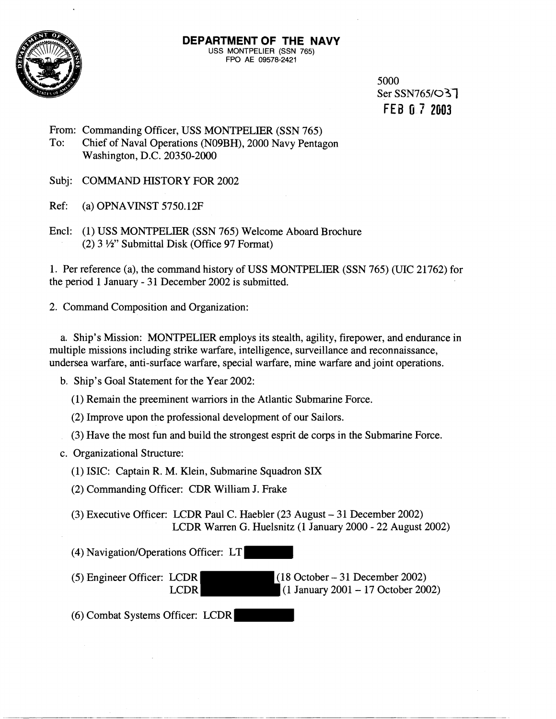

5000 Ser SSN765/037 FEB **O** 7 **2003** 

From: Commanding Officer, USS MONTPELIER (SSN 765) To: Chief of Naval Operations (N09BH), 2000 Navy Pentagon Washington, D.C. 20350-2000

Subj: COMMAND HISTORY FOR 2002

Ref: (a) OPNAVINST 5750.12F

Encl: (1) USS MONTPELIER (SSN 765) Welcome Aboard Brochure  $(2)$  3  $\frac{1}{2}$ " Submittal Disk (Office 97 Format)

1. Per reference (a), the command history of USS MONTPELIER (SSN 765) (UIC 21762) for the period 1 January - 31 December 2002 is submitted.

2. Command Composition and Organization:

a. Ship's Mission: MONTPELIER employs its stealth, agility, firepower, and endurance in multiple missions including strike warfare, intelligence, surveillance and reconnaissance, undersea warfare, anti-surface warfare, special warfare, mine warfare and joint operations.

b. Ship's Goal Statement for the Year 2002:

(1) Remain the preeminent warriors in the Atlantic Submarine Force.

(2) Improve upon the professional development of our Sailors.

(3) Have the most fun and build the strongest esprit de corps in the Submarine Force.

c. Organizational Structure:

(I) ISIC: Captain R. M. Klein, Submarine Squadron SIX

(2) Commanding Officer: CDR William J. Frake

(3) Executive Officer: LCDR Paul C. Haebler (23 August - 31 December 2002) LCDR Warren G. Huelsnitz (1 January 2000 - 22 August 2002)

(4) Navigation/Operations Officer: LT

(5) Engineer Officer: LCDR (18 October - 31 December 2002)<br>LCDR (1 January 2001 - 17 October 200  $\Box$  (1 January 2001 - 17 October 2002)

(6) Combat Systems Officer: LCDR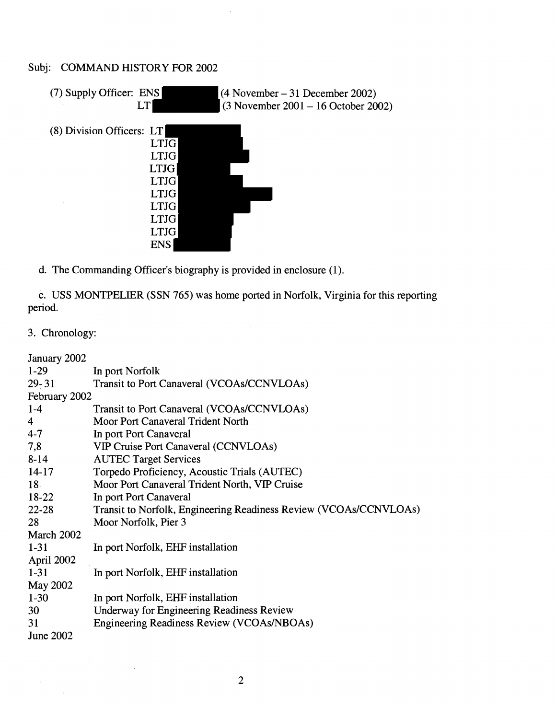## Subj: COMMAND HISTORY FOR 2002



d. The Commanding Officer's biography is provided in enclosure (1).

e. USS MONTPELIER (SSN 765) was home ported in Norfolk, Virginia for this reporting period.

i.

3. Chronology:

| January 2002     |                                                                   |  |
|------------------|-------------------------------------------------------------------|--|
| $1-29$           | In port Norfolk                                                   |  |
| $29 - 31$        | Transit to Port Canaveral (VCOAs/CCNVLOAs)                        |  |
| February 2002    |                                                                   |  |
| $1-4$            | Transit to Port Canaveral (VCOAs/CCNVLOAs)                        |  |
| $\overline{4}$   | Moor Port Canaveral Trident North                                 |  |
| $4 - 7$          | In port Port Canaveral                                            |  |
| 7,8              | <b>VIP Cruise Port Canaveral (CCNVLOAs)</b>                       |  |
| $8 - 14$         | <b>AUTEC Target Services</b>                                      |  |
| $14-17$          | Torpedo Proficiency, Acoustic Trials (AUTEC)                      |  |
| 18 <sup>1</sup>  | Moor Port Canaveral Trident North, VIP Cruise                     |  |
| $18-22$          | In port Port Canaveral                                            |  |
| $22 - 28$        | Transit to Norfolk, Engineering Readiness Review (VCOAs/CCNVLOAs) |  |
| 28               | Moor Norfolk, Pier 3                                              |  |
| March 2002       |                                                                   |  |
| $1 - 31$         | In port Norfolk, EHF installation                                 |  |
| April 2002       |                                                                   |  |
| $1 - 31$         | In port Norfolk, EHF installation                                 |  |
| May 2002         |                                                                   |  |
| $1-30$           | In port Norfolk, EHF installation                                 |  |
| 30               | <b>Underway for Engineering Readiness Review</b>                  |  |
| 31               | Engineering Readiness Review (VCOAs/NBOAs)                        |  |
| <b>June 2002</b> |                                                                   |  |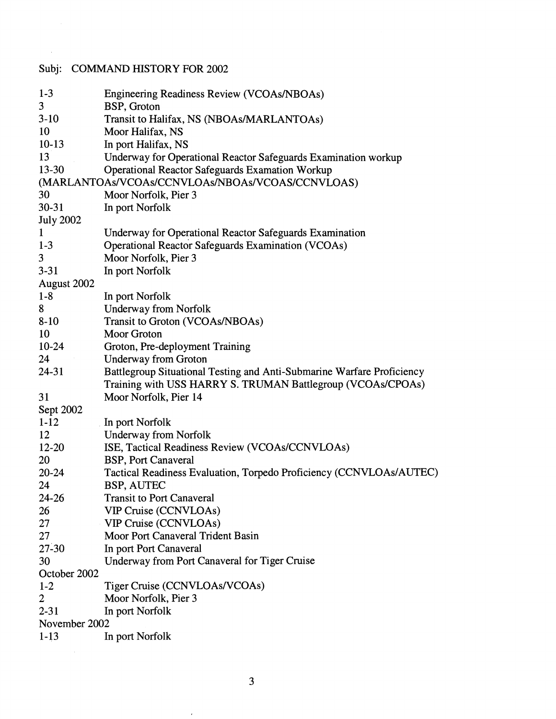## Subj: COMMAND HISTORY FOR 2002

 $\sim 10^7$ 

| $1 - 3$          | Engineering Readiness Review (VCOAs/NBOAs)                             |
|------------------|------------------------------------------------------------------------|
| 3                | BSP, Groton                                                            |
| $3-10$           | Transit to Halifax, NS (NBOAs/MARLANTOAs)                              |
| 10               | Moor Halifax, NS                                                       |
| $10-13$          | In port Halifax, NS                                                    |
| 13               | Underway for Operational Reactor Safeguards Examination workup         |
| 13-30            | <b>Operational Reactor Safeguards Examation Workup</b>                 |
|                  | (MARLANTOAs/VCOAs/CCNVLOAs/NBOAs/VCOAS/CCNVLOAS)                       |
| 30               | Moor Norfolk, Pier 3                                                   |
| 30-31            | In port Norfolk                                                        |
| <b>July 2002</b> |                                                                        |
| $\mathbf{1}$     | Underway for Operational Reactor Safeguards Examination                |
| $1-3$            | <b>Operational Reactor Safeguards Examination (VCOAs)</b>              |
| 3                | Moor Norfolk, Pier 3                                                   |
| $3 - 31$         | In port Norfolk                                                        |
| August 2002      |                                                                        |
| $1-8$            | In port Norfolk                                                        |
| 8                | <b>Underway from Norfolk</b>                                           |
| $8-10$           | Transit to Groton (VCOAs/NBOAs)                                        |
| 10               | <b>Moor Groton</b>                                                     |
| $10-24$          | Groton, Pre-deployment Training                                        |
| 24               | <b>Underway from Groton</b>                                            |
| 24-31            | Battlegroup Situational Testing and Anti-Submarine Warfare Proficiency |
|                  | Training with USS HARRY S. TRUMAN Battlegroup (VCOAs/CPOAs)            |
| 31               | Moor Norfolk, Pier 14                                                  |
| Sept 2002        |                                                                        |
| $1-12$           | In port Norfolk                                                        |
| 12               | <b>Underway from Norfolk</b>                                           |
| 12-20            | ISE, Tactical Readiness Review (VCOAs/CCNVLOAs)                        |
| 20               | <b>BSP, Port Canaveral</b>                                             |
| $20 - 24$        | Tactical Readiness Evaluation, Torpedo Proficiency (CCNVLOAs/AUTEC)    |
| 24               | <b>BSP, AUTEC</b>                                                      |
| 24-26            | <b>Transit to Port Canaveral</b>                                       |
| 26               | <b>VIP Cruise (CCNVLOAs)</b>                                           |
| 27               | <b>VIP Cruise (CCNVLOAs)</b>                                           |
| 27               | Moor Port Canaveral Trident Basin                                      |
| $27 - 30$        | In port Port Canaveral                                                 |
| 30               | Underway from Port Canaveral for Tiger Cruise                          |
| October 2002     |                                                                        |
| $1 - 2$          | Tiger Cruise (CCNVLOAs/VCOAs)                                          |
| $\overline{2}$   | Moor Norfolk, Pier 3                                                   |
| $2 - 31$         | In port Norfolk                                                        |
| November 2002    |                                                                        |
| $1-13$           | In port Norfolk                                                        |
|                  |                                                                        |

 $\hat{\boldsymbol{\beta}}$